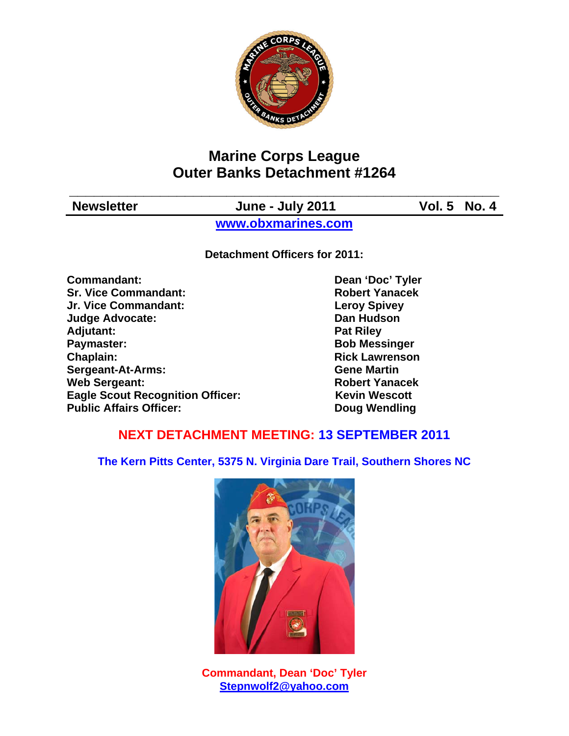

# **Marine Corps League Outer Banks Detachment #1264**

| <b>Newsletter</b> | <b>June - July 2011</b> | <b>Vol. 5 No. 4</b> |
|-------------------|-------------------------|---------------------|
|                   | www.obxmarines.com      |                     |

**Detachment Officers for 2011:** 

**Commandant:** Dean 'Doc' Tyler **Sr. Vice Commandant: Robert Yanacek Jr. Vice Commandant: Leroy Spivey Judge Advocate: Dan Hudson**  Adjutant: **Pat Riley Pat Riley Paymaster:** Bob Messinger **Chaplain: Chaplain: Rick Lawrenson Sergeant-At-Arms: Gene Martin Web Sergeant: Robert Yanacek Robert Yanacek Eagle Scout Recognition Officer:** Kevin Wescott **Public Affairs Officer:** Doug Wendling

## **NEXT DETACHMENT MEETING: 13 SEPTEMBER 2011**

**The Kern Pitts Center, 5375 N. Virginia Dare Trail, Southern Shores NC** 



**Commandant, Dean 'Doc' Tyler Stepnwolf2@yahoo.com**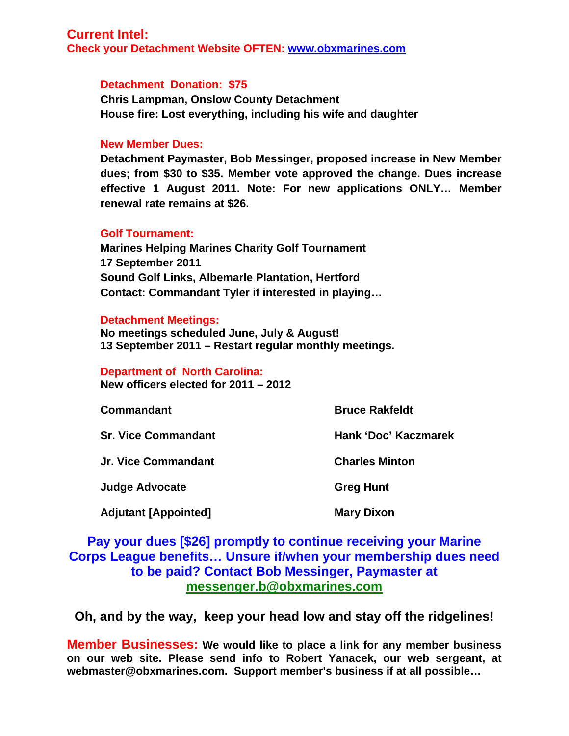### **Current Intel:**

**Check your Detachment Website OFTEN: www.obxmarines.com**

#### **Detachment Donation: \$75**

**Chris Lampman, Onslow County Detachment House fire: Lost everything, including his wife and daughter** 

#### **New Member Dues:**

**Detachment Paymaster, Bob Messinger, proposed increase in New Member dues; from \$30 to \$35. Member vote approved the change. Dues increase effective 1 August 2011. Note: For new applications ONLY… Member renewal rate remains at \$26.** 

#### **Golf Tournament:**

**Marines Helping Marines Charity Golf Tournament 17 September 2011 Sound Golf Links, Albemarle Plantation, Hertford Contact: Commandant Tyler if interested in playing…** 

#### **Detachment Meetings:**

**No meetings scheduled June, July & August! 13 September 2011 – Restart regular monthly meetings.** 

#### **Department of North Carolina:**

**New officers elected for 2011 – 2012** 

| <b>Commandant</b>           | <b>Bruce Rakfeldt</b> |  |
|-----------------------------|-----------------------|--|
| <b>Sr. Vice Commandant</b>  | Hank 'Doc' Kaczmarek  |  |
| <b>Jr. Vice Commandant</b>  | <b>Charles Minton</b> |  |
| <b>Judge Advocate</b>       | <b>Greg Hunt</b>      |  |
| <b>Adjutant [Appointed]</b> | <b>Mary Dixon</b>     |  |

## **Pay your dues [\$26] promptly to continue receiving your Marine Corps League benefits… Unsure if/when your membership dues need to be paid? Contact Bob Messinger, Paymaster at messenger.b@obxmarines.com**

**Oh, and by the way, keep your head low and stay off the ridgelines!** 

**Member Businesses: We would like to place a link for any member business on our web site. Please send info to Robert Yanacek, our web sergeant, at webmaster@obxmarines.com. Support member's business if at all possible…**